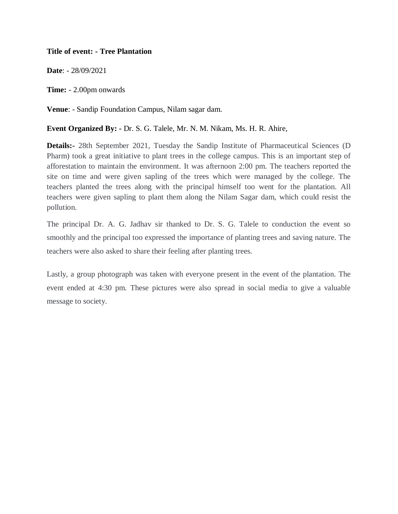## **Title of event: - Tree Plantation**

**Date**: - 28/09/2021

**Time:** - 2.00pm onwards

**Venue**: - Sandip Foundation Campus, Nilam sagar dam.

## **Event Organized By: -** Dr. S. G. Talele, Mr. N. M. Nikam, Ms. H. R. Ahire,

**Details:-** 28th September 2021, Tuesday the Sandip Institute of Pharmaceutical Sciences (D Pharm) took a great initiative to plant trees in the college campus. This is an important step of afforestation to maintain the environment. It was afternoon 2:00 pm. The teachers reported the site on time and were given sapling of the trees which were managed by the college. The teachers planted the trees along with the principal himself too went for the plantation. All teachers were given sapling to plant them along the Nilam Sagar dam, which could resist the pollution.

The principal Dr. A. G. Jadhav sir thanked to Dr. S. G. Talele to conduction the event so smoothly and the principal too expressed the importance of planting trees and saving nature. The teachers were also asked to share their feeling after planting trees.

Lastly, a group photograph was taken with everyone present in the event of the plantation. The event ended at 4:30 pm. These pictures were also spread in social media to give a valuable message to society.